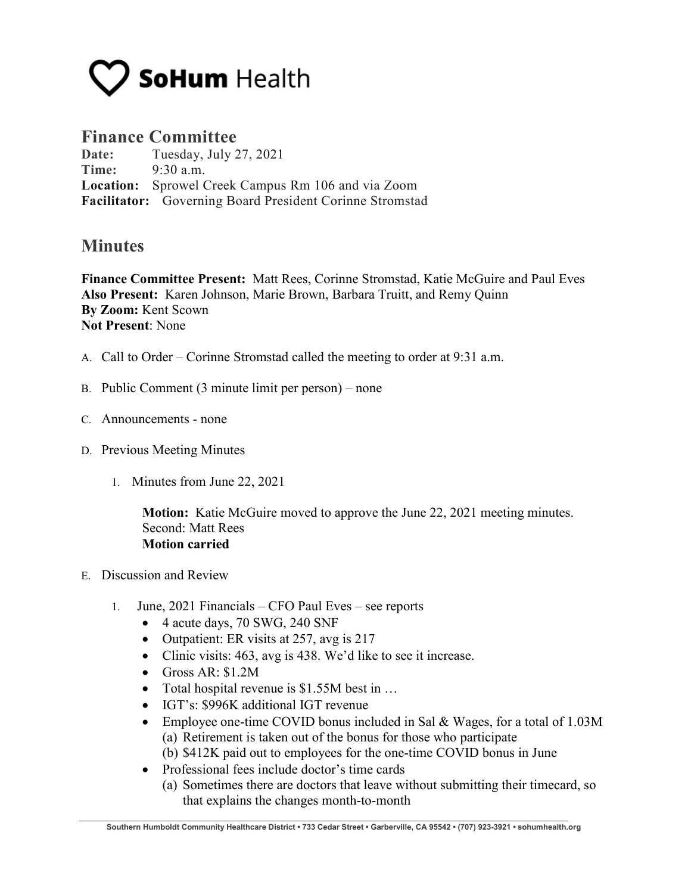

## **Finance Committee**

**Date:** Tuesday, July 27, 2021 **Time:** 9:30 a.m. **Location:** Sprowel Creek Campus Rm 106 and via Zoom **Facilitator:** Governing Board President Corinne Stromstad

## **Minutes**

**Finance Committee Present:** Matt Rees, Corinne Stromstad, Katie McGuire and Paul Eves **Also Present:** Karen Johnson, Marie Brown, Barbara Truitt, and Remy Quinn **By Zoom:** Kent Scown **Not Present**: None

- A. Call to Order Corinne Stromstad called the meeting to order at 9:31 a.m.
- B. Public Comment (3 minute limit per person) none
- C. Announcements none
- D. Previous Meeting Minutes
	- 1. Minutes from June 22, 2021

**Motion:** Katie McGuire moved to approve the June 22, 2021 meeting minutes. Second: Matt Rees **Motion carried**

- E. Discussion and Review
	- 1. June, 2021 Financials CFO Paul Eves see reports
		- 4 acute days, 70 SWG, 240 SNF
		- Outpatient: ER visits at 257, avg is 217
		- Clinic visits: 463, avg is 438. We'd like to see it increase.
		- Gross AR: \$1.2M
		- Total hospital revenue is \$1.55M best in ...
		- IGT's: \$996K additional IGT revenue
		- Employee one-time COVID bonus included in Sal & Wages, for a total of 1.03M (a) Retirement is taken out of the bonus for those who participate
			- (b) \$412K paid out to employees for the one-time COVID bonus in June
		- Professional fees include doctor's time cards
			- (a) Sometimes there are doctors that leave without submitting their timecard, so that explains the changes month-to-month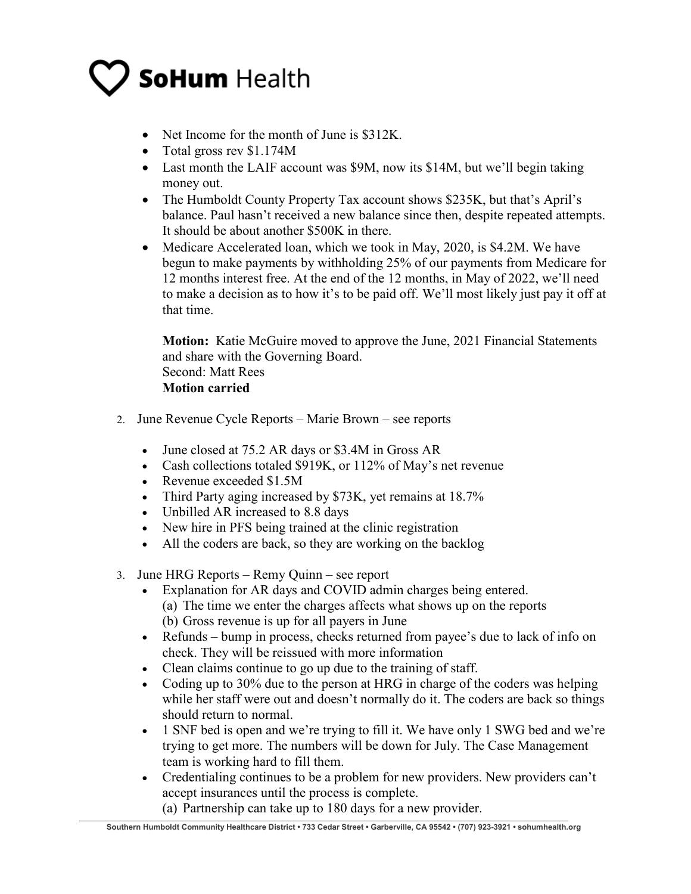## **SoHum Health**

- Net Income for the month of June is \$312K.
- Total gross rev \$1.174M
- Last month the LAIF account was \$9M, now its \$14M, but we'll begin taking money out.
- The Humboldt County Property Tax account shows \$235K, but that's April's balance. Paul hasn't received a new balance since then, despite repeated attempts. It should be about another \$500K in there.
- Medicare Accelerated loan, which we took in May, 2020, is \$4.2M. We have begun to make payments by withholding 25% of our payments from Medicare for 12 months interest free. At the end of the 12 months, in May of 2022, we'll need to make a decision as to how it's to be paid off. We'll most likely just pay it off at that time.

**Motion:** Katie McGuire moved to approve the June, 2021 Financial Statements and share with the Governing Board. Second: Matt Rees

**Motion carried**

- 2. June Revenue Cycle Reports Marie Brown see reports
	- June closed at 75.2 AR days or \$3.4M in Gross AR
	- Cash collections totaled \$919K, or 112% of May's net revenue
	- Revenue exceeded \$1.5M
	- Third Party aging increased by \$73K, yet remains at 18.7%
	- Unbilled AR increased to 8.8 days
	- New hire in PFS being trained at the clinic registration
	- All the coders are back, so they are working on the backlog
- 3. June HRG Reports Remy Quinn see report
	- Explanation for AR days and COVID admin charges being entered. (a) The time we enter the charges affects what shows up on the reports (b) Gross revenue is up for all payers in June
	- Refunds bump in process, checks returned from payee's due to lack of info on check. They will be reissued with more information
	- Clean claims continue to go up due to the training of staff.
	- Coding up to 30% due to the person at HRG in charge of the coders was helping while her staff were out and doesn't normally do it. The coders are back so things should return to normal.
	- 1 SNF bed is open and we're trying to fill it. We have only 1 SWG bed and we're trying to get more. The numbers will be down for July. The Case Management team is working hard to fill them.
	- Credentialing continues to be a problem for new providers. New providers can't accept insurances until the process is complete.

(a) Partnership can take up to 180 days for a new provider.